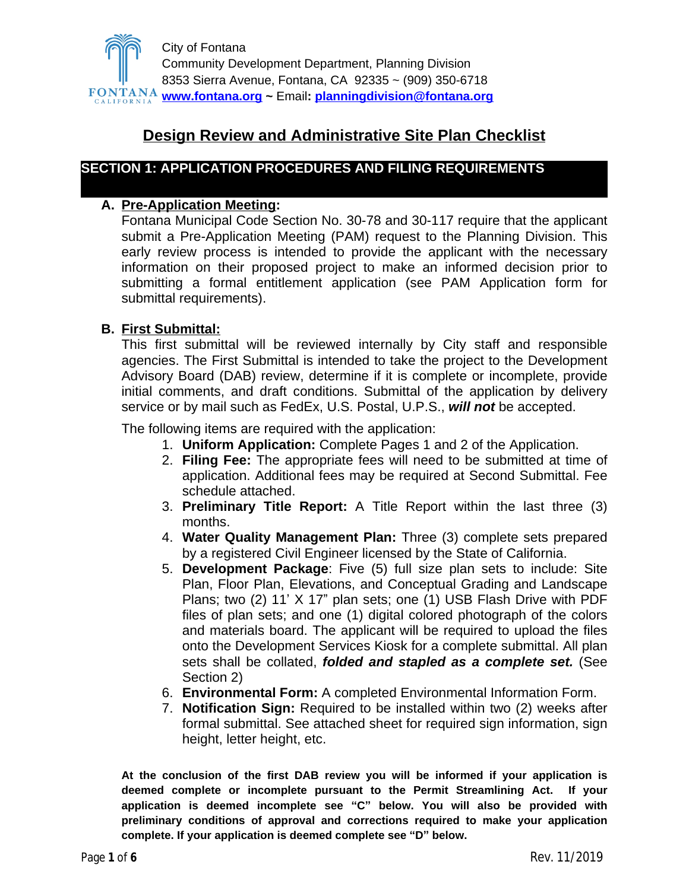

# **Design Review and Administrative Site Plan Checklist**

### **SECTION 1: APPLICATION PROCEDURES AND FILING REQUIREMENTS**

### **A. Pre-Application Meeting:**

Fontana Municipal Code Section No. 30-78 and 30-117 require that the applicant submit a Pre-Application Meeting (PAM) request to the Planning Division. This early review process is intended to provide the applicant with the necessary information on their proposed project to make an informed decision prior to submitting a formal entitlement application (see PAM Application form for submittal requirements).

### **B. First Submittal:**

This first submittal will be reviewed internally by City staff and responsible agencies. The First Submittal is intended to take the project to the Development Advisory Board (DAB) review, determine if it is complete or incomplete, provide initial comments, and draft conditions. Submittal of the application by delivery service or by mail such as FedEx, U.S. Postal, U.P.S., *will not* be accepted.

The following items are required with the application:

- 1. **Uniform Application:** Complete Pages 1 and 2 of the Application.
- 2. **Filing Fee:** The appropriate fees will need to be submitted at time of application. Additional fees may be required at Second Submittal. Fee schedule attached.
- 3. **Preliminary Title Report:** A Title Report within the last three (3) months.
- 4. **Water Quality Management Plan:** Three (3) complete sets prepared by a registered Civil Engineer licensed by the State of California.
- 5. **Development Package**: Five (5) full size plan sets to include: Site Plan, Floor Plan, Elevations, and Conceptual Grading and Landscape Plans; two (2) 11' X 17" plan sets; one (1) USB Flash Drive with PDF files of plan sets; and one (1) digital colored photograph of the colors and materials board. The applicant will be required to upload the files onto the Development Services Kiosk for a complete submittal. All plan sets shall be collated, *folded and stapled as a complete set.* (See Section 2)
- 6. **Environmental Form:** A completed Environmental Information Form.
- 7. **Notification Sign:** Required to be installed within two (2) weeks after formal submittal. See attached sheet for required sign information, sign height, letter height, etc.

**At the conclusion of the first DAB review you will be informed if your application is deemed complete or incomplete pursuant to the Permit Streamlining Act. If your application is deemed incomplete see "C" below. You will also be provided with preliminary conditions of approval and corrections required to make your application complete. If your application is deemed complete see "D" below.**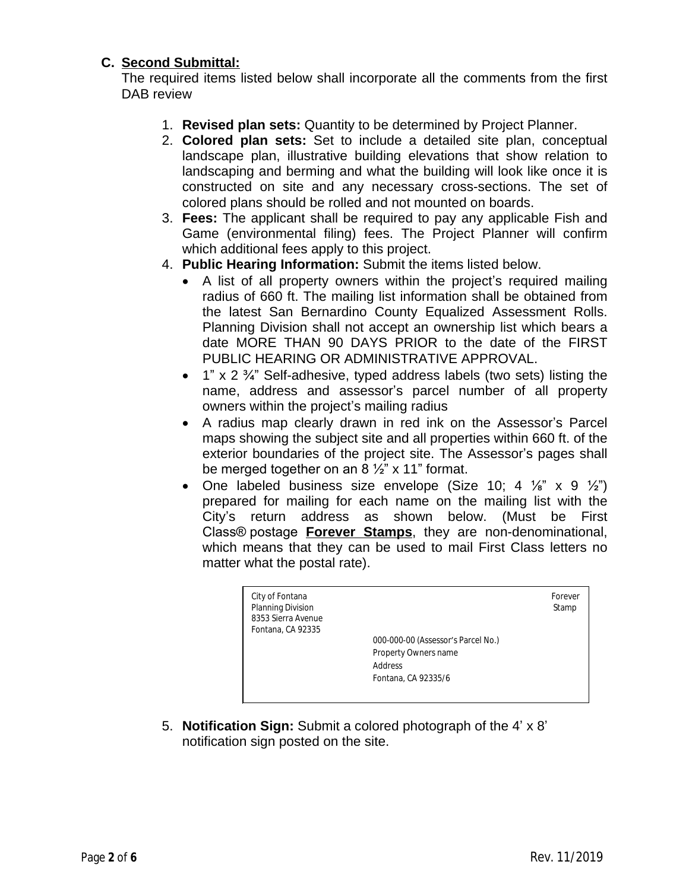### **C. Second Submittal:**

The required items listed below shall incorporate all the comments from the first DAB review

- 1. **Revised plan sets:** Quantity to be determined by Project Planner.
- 2. **Colored plan sets:** Set to include a detailed site plan, conceptual landscape plan, illustrative building elevations that show relation to landscaping and berming and what the building will look like once it is constructed on site and any necessary cross-sections. The set of colored plans should be rolled and not mounted on boards.
- 3. **Fees:** The applicant shall be required to pay any applicable Fish and Game (environmental filing) fees. The Project Planner will confirm which additional fees apply to this project.
- 4. **Public Hearing Information:** Submit the items listed below.
	- A list of all property owners within the project's required mailing radius of 660 ft. The mailing list information shall be obtained from the latest San Bernardino County Equalized Assessment Rolls. Planning Division shall not accept an ownership list which bears a date MORE THAN 90 DAYS PRIOR to the date of the FIRST PUBLIC HEARING OR ADMINISTRATIVE APPROVAL.
	- 1" x 2 $\frac{3}{4}$ " Self-adhesive, typed address labels (two sets) listing the name, address and assessor's parcel number of all property owners within the project's mailing radius
	- A radius map clearly drawn in red ink on the Assessor's Parcel maps showing the subject site and all properties within 660 ft. of the exterior boundaries of the project site. The Assessor's pages shall be merged together on an 8  $\frac{1}{2}$ " x 11" format.
	- One labeled business size envelope (Size 10; 4  $\frac{1}{8}$ " x 9  $\frac{1}{2}$ ") prepared for mailing for each name on the mailing list with the City's return address as shown below. (Must be First Class® postage **Forever Stamps**, they are non-denominational, which means that they can be used to mail First Class letters no matter what the postal rate).



5. **Notification Sign:** Submit a colored photograph of the 4' x 8' notification sign posted on the site.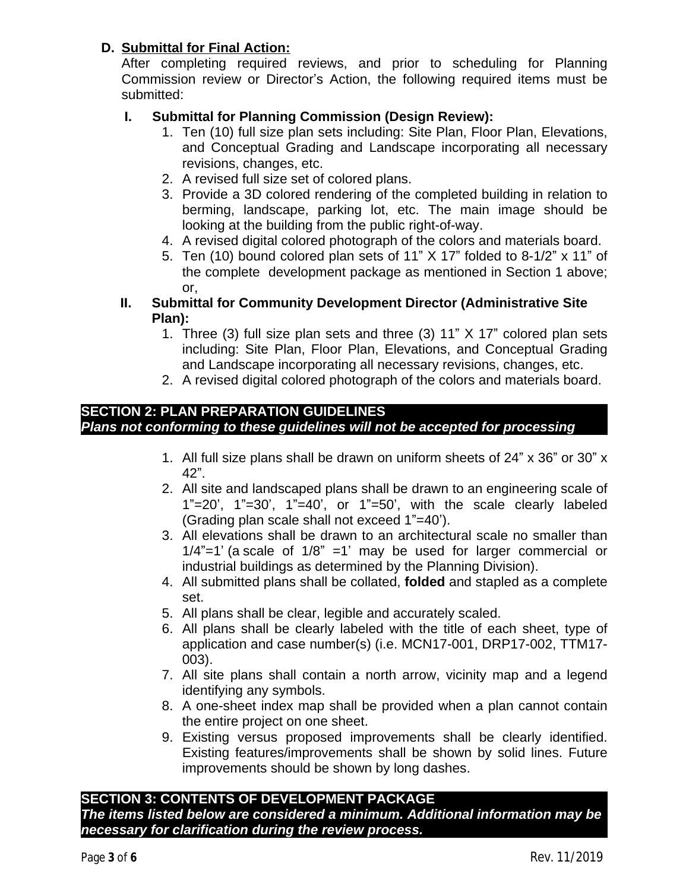# **D. Submittal for Final Action:**

After completing required reviews, and prior to scheduling for Planning Commission review or Director's Action, the following required items must be submitted:

# **I. Submittal for Planning Commission (Design Review):**

- 1. Ten (10) full size plan sets including: Site Plan, Floor Plan, Elevations, and Conceptual Grading and Landscape incorporating all necessary revisions, changes, etc.
- 2. A revised full size set of colored plans.
- 3. Provide a 3D colored rendering of the completed building in relation to berming, landscape, parking lot, etc. The main image should be looking at the building from the public right-of-way.
- 4. A revised digital colored photograph of the colors and materials board.
- 5. Ten (10) bound colored plan sets of 11" X 17" folded to 8-1/2" x 11" of the complete development package as mentioned in Section 1 above; or,
- **II. Submittal for Community Development Director (Administrative Site Plan):**
	- 1. Three (3) full size plan sets and three (3) 11" X 17" colored plan sets including: Site Plan, Floor Plan, Elevations, and Conceptual Grading and Landscape incorporating all necessary revisions, changes, etc.
	- 2. A revised digital colored photograph of the colors and materials board.

#### **SECTION 2: PLAN PREPARATION GUIDELINES** *Plans not conforming to these guidelines will not be accepted for processing*

- 1. All full size plans shall be drawn on uniform sheets of 24" x 36" or 30" x 42".
- 2. All site and landscaped plans shall be drawn to an engineering scale of  $1" = 20'$ ,  $1" = 30'$ ,  $1" = 40'$ , or  $1" = 50'$ , with the scale clearly labeled (Grading plan scale shall not exceed 1"=40').
- 3. All elevations shall be drawn to an architectural scale no smaller than  $1/4$ "=1' (a scale of  $1/8$ " =1' may be used for larger commercial or industrial buildings as determined by the Planning Division).
- 4. All submitted plans shall be collated, **folded** and stapled as a complete set.
- 5. All plans shall be clear, legible and accurately scaled.
- 6. All plans shall be clearly labeled with the title of each sheet, type of application and case number(s) (i.e. MCN17-001, DRP17-002, TTM17- 003).
- 7. All site plans shall contain a north arrow, vicinity map and a legend identifying any symbols.
- 8. A one-sheet index map shall be provided when a plan cannot contain the entire project on one sheet.
- 9. Existing versus proposed improvements shall be clearly identified. Existing features/improvements shall be shown by solid lines. Future improvements should be shown by long dashes.

# **SECTION 3: CONTENTS OF DEVELOPMENT PACKAGE**

*The items listed below are considered a minimum. Additional information may be necessary for clarification during the review process.*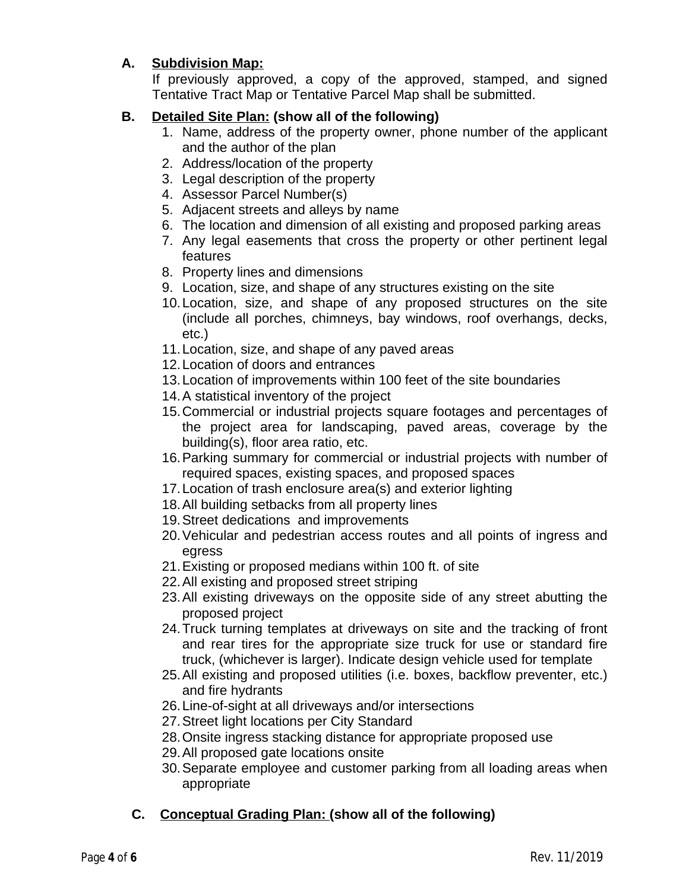# **A. Subdivision Map:**

If previously approved, a copy of the approved, stamped, and signed Tentative Tract Map or Tentative Parcel Map shall be submitted.

# **B. Detailed Site Plan: (show all of the following)**

- 1. Name, address of the property owner, phone number of the applicant and the author of the plan
- 2. Address/location of the property
- 3. Legal description of the property
- 4. Assessor Parcel Number(s)
- 5. Adjacent streets and alleys by name
- 6. The location and dimension of all existing and proposed parking areas
- 7. Any legal easements that cross the property or other pertinent legal features
- 8. Property lines and dimensions
- 9. Location, size, and shape of any structures existing on the site
- 10.Location, size, and shape of any proposed structures on the site (include all porches, chimneys, bay windows, roof overhangs, decks, etc.)
- 11.Location, size, and shape of any paved areas
- 12.Location of doors and entrances
- 13.Location of improvements within 100 feet of the site boundaries
- 14.A statistical inventory of the project
- 15.Commercial or industrial projects square footages and percentages of the project area for landscaping, paved areas, coverage by the building(s), floor area ratio, etc.
- 16.Parking summary for commercial or industrial projects with number of required spaces, existing spaces, and proposed spaces
- 17.Location of trash enclosure area(s) and exterior lighting
- 18.All building setbacks from all property lines
- 19.Street dedications and improvements
- 20.Vehicular and pedestrian access routes and all points of ingress and egress
- 21.Existing or proposed medians within 100 ft. of site
- 22.All existing and proposed street striping
- 23.All existing driveways on the opposite side of any street abutting the proposed project
- 24.Truck turning templates at driveways on site and the tracking of front and rear tires for the appropriate size truck for use or standard fire truck, (whichever is larger). Indicate design vehicle used for template
- 25.All existing and proposed utilities (i.e. boxes, backflow preventer, etc.) and fire hydrants
- 26.Line-of-sight at all driveways and/or intersections
- 27.Street light locations per City Standard
- 28.Onsite ingress stacking distance for appropriate proposed use
- 29.All proposed gate locations onsite
- 30.Separate employee and customer parking from all loading areas when appropriate

# **C. Conceptual Grading Plan: (show all of the following)**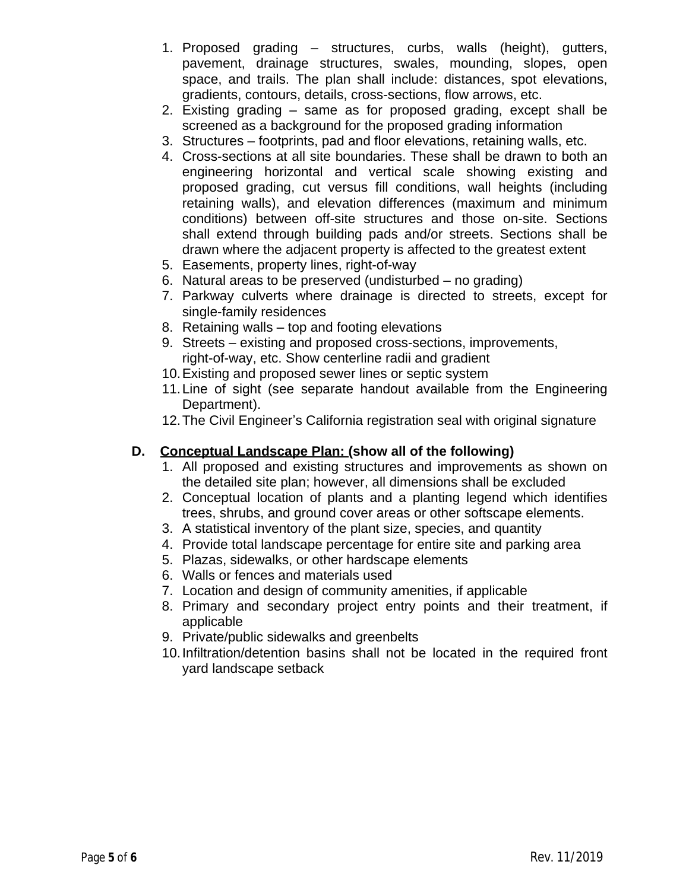- 1. Proposed grading structures, curbs, walls (height), gutters, pavement, drainage structures, swales, mounding, slopes, open space, and trails. The plan shall include: distances, spot elevations, gradients, contours, details, cross-sections, flow arrows, etc.
- 2. Existing grading same as for proposed grading, except shall be screened as a background for the proposed grading information
- 3. Structures footprints, pad and floor elevations, retaining walls, etc.
- 4. Cross-sections at all site boundaries. These shall be drawn to both an engineering horizontal and vertical scale showing existing and proposed grading, cut versus fill conditions, wall heights (including retaining walls), and elevation differences (maximum and minimum conditions) between off-site structures and those on-site. Sections shall extend through building pads and/or streets. Sections shall be drawn where the adjacent property is affected to the greatest extent
- 5. Easements, property lines, right-of-way
- 6. Natural areas to be preserved (undisturbed no grading)
- 7. Parkway culverts where drainage is directed to streets, except for single-family residences
- 8. Retaining walls top and footing elevations
- 9. Streets existing and proposed cross-sections, improvements, right-of-way, etc. Show centerline radii and gradient
- 10.Existing and proposed sewer lines or septic system
- 11.Line of sight (see separate handout available from the Engineering Department).
- 12.The Civil Engineer's California registration seal with original signature

### **D. Conceptual Landscape Plan: (show all of the following)**

- 1. All proposed and existing structures and improvements as shown on the detailed site plan; however, all dimensions shall be excluded
- 2. Conceptual location of plants and a planting legend which identifies trees, shrubs, and ground cover areas or other softscape elements.
- 3. A statistical inventory of the plant size, species, and quantity
- 4. Provide total landscape percentage for entire site and parking area
- 5. Plazas, sidewalks, or other hardscape elements
- 6. Walls or fences and materials used
- 7. Location and design of community amenities, if applicable
- 8. Primary and secondary project entry points and their treatment, if applicable
- 9. Private/public sidewalks and greenbelts
- 10.Infiltration/detention basins shall not be located in the required front yard landscape setback